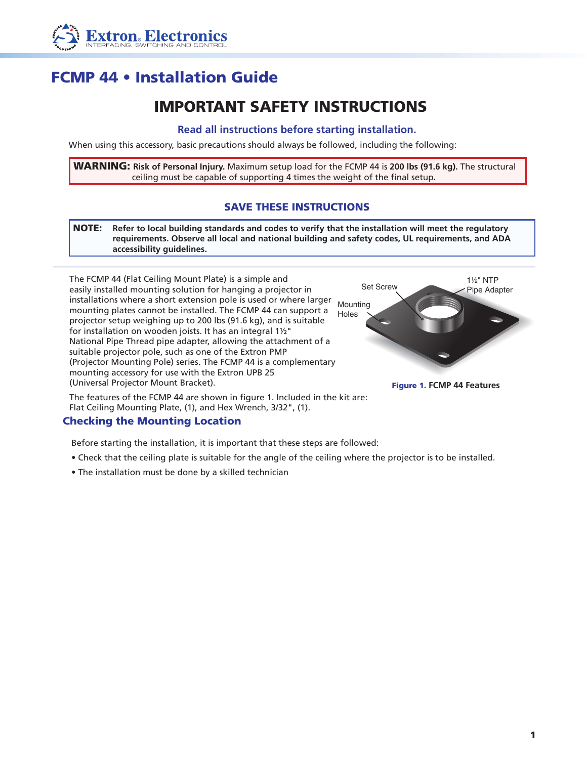

# FCMP 44 • Installation Guide

## IMPORTANT SAFETY INSTRUCTIONS

#### **Read all instructions before starting installation.**

When using this accessory, basic precautions should always be followed, including the following:

WARNING: **Risk of Personal Injury.** Maximum setup load for the FCMP 44 is **200 lbs (91.6 kg).** The structural ceiling must be capable of supporting 4 times the weight of the final setup**.**

### SAVE THESE INSTRUCTIONS

NOTE: **Refer to local building standards and codes to verify that the installation will meet the regulatory requirements. Observe all local and national building and safety codes, UL requirements, and ADA accessibility guidelines.**



The features of the FCMP 44 are shown in figure 1. Included in the kit are: Flat Ceiling Mounting Plate, (1), and Hex Wrench, 3/32", (1).

### Checking the Mounting Location

Before starting the installation, it is important that these steps are followed:

- Check that the ceiling plate is suitable for the angle of the ceiling where the projector is to be installed.
- The installation must be done by a skilled technician



Figure 1. **FCMP 44 Features**